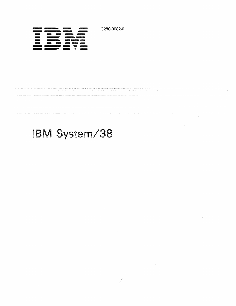G280-0082-0

| <b>CONTINUES</b>                    |                                                          |                               | <u>___</u>               |
|-------------------------------------|----------------------------------------------------------|-------------------------------|--------------------------|
| _____                               | $\qquad \qquad \qquad \qquad$                            |                               | $\sim$                   |
| --                                  | <u>and the second second</u><br>$\overline{\phantom{a}}$ | $\sim$                        | ___                      |
| —                                   |                                                          | $\qquad \qquad \qquad \qquad$ |                          |
| $\equiv$                            | $\qquad \qquad \qquad \qquad \qquad \qquad \qquad$       |                               |                          |
| <b>Contract Contract</b>            | $\equiv$<br>$\sim$                                       | ---                           |                          |
| <b><i><u>SAMPLE CONTROL</u></i></b> | $\overline{\phantom{a}}$                                 | $\sim$<br>▭                   | $\overline{\phantom{a}}$ |
|                                     |                                                          |                               |                          |

# IBM *System/38*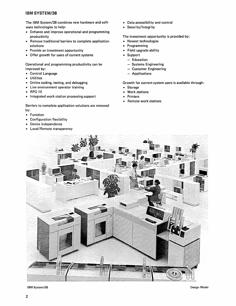# **IBM SYSTEM/3S**

The IBM System/38 combines new hardware and software technologies to help:

- Enhance and improve operational and programming productivity
- Remove traditional barriers to complete application solutions
- Provide an investment opportunity
- Offer growth for users of current systems

Operational and programming productivity can be improved by:

- Control Language
- Utilities
- Online coding, testing, and debugging
- Live environment operator training
- RPG III
- Integrated work station processing support

Barriers to complete application solutions are removed by:

- Function
- Configuration flexibility
- Device independence
- Local/Remote transparency
- Data accessibility and control
- Security/Integrity

The investment opportunity is provided by:

- Newest technologies
- Programming
- Field upgrade ability
- Support
	- $-$  Education
	- Systems Engineering
	- Customer Engineering
	- Applications

Growth for current system users is available through:

- Storage
- Work stations
- **Printers**
- Remote work stations



IBM System/38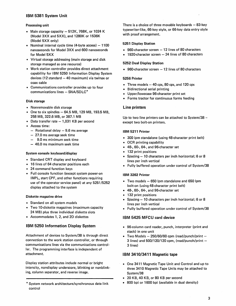# IBM 5381 System Unit

### Processing unit

- Main storage capacity  $-512K$ , 768K, or 1024 K (Mode13XX and 5XX), and 1280K or 1536K (Model 5XX only)
- Nominal internal cycle time  $(4-b)$  byte access $) 1100$ nanoseconds for Model 3XX and 600 nanoseconds for Model 5XX
- Virtual storage addressing (main storage and disk storage managed as one resource)
- Work station controller provides direct attachment capability for IBM 5250 Information Display System devices (12 standard  $-$  40 maximum) via twinax or coax cable
- Communications controller provides up to four communications lines  $-$  SNA/SDLC $*$

# Disk storage

- Nonremovable disk storage
- One to six spindles  $-64.5$  MB, 129 MB, 193.5 MB, 258 MB, 322.6 MB, or 387.1 MB
- Data transfer rate  $-1,031$  KB per second
- Access time:
	- $-$  Rotational delay  $-9.6$  ms average
	- 27.0 ms average seek time
	- 9.0 ms minimum seek time
	- 46.0 ms maximum seek time

#### System console keyboard/display

- Standard CRT display and keyboard
- 16 lines of 64 character positions each
- 24 command function keys
- Full console function (except system power-on IMPL, start CPF, and other functions requiring use of the operator service panel) at any 5251/5252 display attached to the system

#### Diskette magazine drive

- Standard on all system models
- Two 10-diskette magazines (maximum capacity 24 MB) plus three individual diskette slots
- Accommodates 1, 2, and 20 diskettes

# IBM 5250 Information Display System

Attachment of devices to System/38 is through direct connection to the work station controller, or through communications lines via the communications controller. The programming interface is independent of attachment.

Display station attributes include normal or bright intensity, nondisplay underscore, blinking or nonblinking, column separator, and reverse image.

\* System network architecture/synchronous data link control

There is a choice of three movable keyboards  $-83$ -key typewriter-like, 66-key style, or 66-key data entry style with proof arrangement.

### 5251 Display Station

- $\cdot$  960-character screen  $-12$  lines of 80 characters
- $\bullet$  1920-character screen  $-$  24 lines of 80 characters

#### 5252 Dual Display Station

 $\cdot$  960-character screen  $-12$  lines of 80 characters

#### 5256 Printer

- Three models  $-40$  cps, 80 cps, and 120 cps
- Bidirectional serial printing
- Upper/lowecase 96-character print set
- Forms tractor for continuous forms feeding

# Line printers

Up to two line printers can be attached to System/38  $$ except two bolt-on printers.

#### IBM 5211 Printer

- 300 Ipm standalone (using 48-character print belt)
- OCR printing capability
- 48-, 60-, 64-, and 96-character set
- 132 print positions
- Spacing  $-10$  characters per inch horizontal; 6 or 8 lines per inch vertical
- Fully buffered operation under control of System/38

#### IBM 3262 Printer

- $\bullet$  Two models  $-$  650 lpm standalone and 650 lpm bolt-on (using 48·character print belt)
- 48-, 60-, 64-, and 96-character set
- 132 print positions
- Spacing 10 characters per inch horizontal; 6 or 8 lines per inch vertical
- Fully buffered operation under control of System/38

# IBM 5425 MFCU card device

- 96-column card reader, punch, interpreter (print and stack) in one unit
- Two Models  $-250/60/60$  cpm (read/punch/print  $-$ 3 lines) and  $500/120/120$  cpm, (read/punch/print  $-$ 3 lines)

# IBM 3410/3411 Magnetic tape

- One 3411 Magnetic Tape Unit and Control and up to three 3410 Magnetic Tape Units may be attached to System/38
- 20 KB, 40 KB, or 80 KB per second
- 800 bpi or 1600 bpi (available in dual density)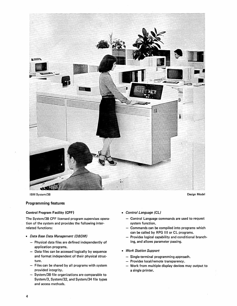

IBM System/38

#### Programming features

#### Control Program Facility (CPF)

The System/38 CPF licensed program supervises operation of the system and provides the following interrelated functions:

- Data Base Data Management (DBDM)
	- $-$  Physical data files are defined independently of application programs.
	- Data files can be accessed logically by sequence and format independent of their physical structure.
	- $-$  Files can be shared by all programs with system provided integrity.
	- System/38 file organizations are comparable to System/3, System/32, and System/34 file types and access methods.
- Control Language (CL)
	- Control Language commands are used to request system function.
	- Commands can be compiled into programs which can be called by RPG III or CL programs.
	- Provides logical capability and conditional branching, and allows parameter passing.
- Work Station Support
	- Single-terminal programming approach.
	- Provides local/remote transparency.
	- Work from multiple display devices may output to a single printer.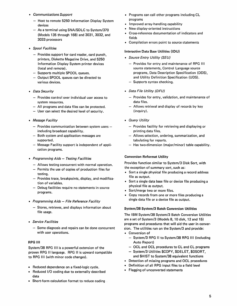- *Communications Support* 
	- Host to remote 5250 Information Display System devices
	- $-$  As a terminal using SNA/SDLC to System/370 (Models 135 through 168) and 3031, 3032, and 3033 processors
- *Spool Facilities* 
	- $-$  Provides support for card reader, card punch, printers, Diskette Magazine Drive, and 5250 Information Display System printer devices (local and remote).
	- Supports multiple SPOOL queues.
	- Output SPOOL queues can be directed to various devices.
- *Data Security* 
	- Provides control over individual user access to system resources.
	- All programs and data files can be protected.
	- User can select the desired level of security.
- *Message Facility* 
	- $-$  Provides communication between system users  $$ including broadcast capability.
	- $-$  Both system and application messages are supported.
	- Message Facility support is independent of application programs.
- *Programming Aids Testing Facilities* 
	- Allows testing concurrent with normal operation.
	- $-$  Permits the use of copies of production files for testing.
	- Provides trace, breakpoints, display, and modification of variables.
	- Debug facilities require no statements in source programs.
- *Programming Aids File Reference Facility* 
	- Stores, retrieves, and displays information about file usage.
- *Service Facilities* 
	- $-$  Some diagnosis and repairs can be done concurrent with user operations.

# RPG III

System/38 RPG III is a powerful extension of the proven RPG II language. RPG II is upward compatible to RPG III (with minor code changes).

- Reduced dependence on a fixed-logic cycle.
- Reduced I/O coding due to externally described data
- Short-form calculation format to reduce coding.
- Programs can call other programs including CL programs
- Improved array-handling capability
- New display-oriented instructions
- Cross-reference documentation of indicators and fields
- Compilation errors point to source statements

#### Interactive Data Base Utilities (IOU)

- *Source Entry Utility (SEU)* 
	- Provides for entry and maintenance of RPG III source statements, Control Language source programs, Data Description Specification (DDS), and Utility Definition Specification (UDS).
	- $-$  Supports syntax checking.
- *Data File Utility (DFU)* 
	- $-$  Provides for entry, validation, and maintenance of data files.
	- Allows retrieval and display of records by key (inquiry).
- *Query Utility* 
	- $-$  Provides facility for retrieving and displaying or printing data files.
	- Allows selection, ordering, summarization, and tabulating for reports.
	- $-$  Has two-dimension (major/minor) table capability.

# Conversion Reformat Utility

Provides function similar to System/3 Disk Sort, with the exception of summary sort, such as:

- Sort a single physical file producing a record address file as output.
- Sort a single data base file or device file producing a physical file as output.
- Sort/merge two or more files.
- Copy records from one or more files producing a single data file or a device file as output.

# System/38 System/3 Batch Conversion Utilities

The IBM System/38 System/3 Batch Conversion Utilities are a set of System/3 (Models 8, 10 disk, 12 and 15) programs and procedures that will aid the user in conversion. The utilities run on the System/3 and provide:

- Conversion of
	- System/3 RPG II to System/38 RPG III (including Auto Report)
	- OCL and OCL procedures to CL and CL programs
	- System/3 Utilities \$COPY, \$DELET, \$DSORT, and \$HIST to System/38 equivalent functions
- Detection of missing programs and OCl procedures
- Definition of all RPG input files to a field level
- Flagging of unconverted statements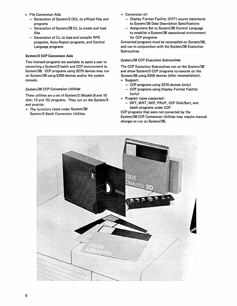- File Conversion Aids
	- Generation of System/3 OCL to offload files and programs
	- Generation of System/38 CL to create and load files
	- Generation of Cl to load and compile RPG programs, Auto-Report programs, and Control Language programs

#### System/3 CCP Conversion Aids

Two licensed programs are available to assist a user in converting a System/3 batch and CCP environment to System/3S. CCP programs using 3270 devices may run on System/3S using 5250 devices and/or the system console.

#### *System/38 CCP Conversion Utilities*

These utilities are a set of System/3 (Models 8 and 10 disk; 12 and 15) programs. They run on the System/3 and provide:

• The functions listed under System/3S System/3 Batch Conversion Utilities

- Conversion of:
	- Display Format Facility (DFF) source statements to System/3S Data Description Specifications
	- Assignment Set to System/38 Control Language to establish a System/3S operational environment for CCP programs

Converted programs must be recompiled on System/3S, and run in conjunction with the System/3S Execution Subroutines.

### *System/38 CCP Execution Subroutines*

The CCP Execution Subroutines run on the System/3S and allow System/3 CCP programs to execute on the System/3S using 5250 devices (after recompilation).

- Support:
	- CCP programs using 3270 devices (only)
	- CCP programs using Display Format Facility (only)
- Program types supported:
	- SRT, MRT, NEP, PRUF, CCP Disk/Sort, and batch programs under CCP

CCP programs that were not converted by the System/3S CCP Conversion Utilities may require manual changes to run on System/3S.